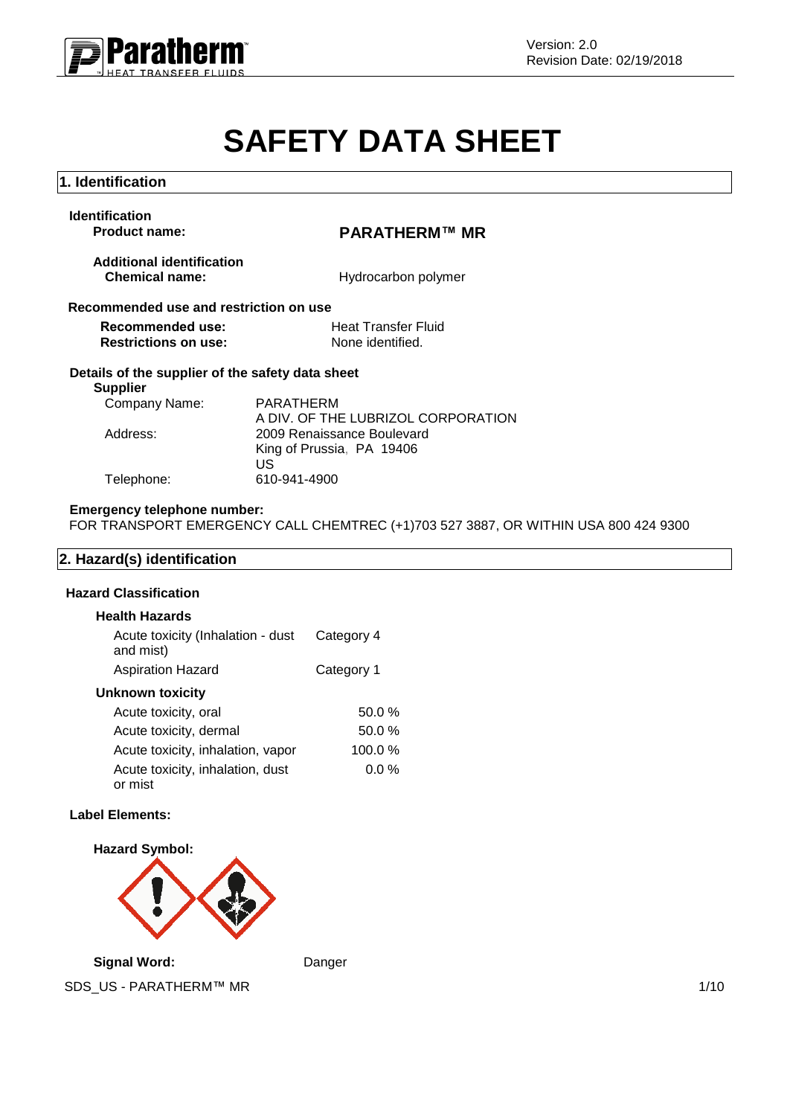

# **SAFETY DATA SHEET**

| 1. Identification                                                   |                                                               |  |
|---------------------------------------------------------------------|---------------------------------------------------------------|--|
| <b>Identification</b><br><b>Product name:</b>                       | PARATHERM™ MR                                                 |  |
| <b>Additional identification</b><br><b>Chemical name:</b>           | Hydrocarbon polymer                                           |  |
| Recommended use and restriction on use                              |                                                               |  |
| Recommended use:                                                    | <b>Heat Transfer Fluid</b>                                    |  |
| <b>Restrictions on use:</b>                                         | None identified.                                              |  |
| Details of the supplier of the safety data sheet<br><b>Supplier</b> |                                                               |  |
| Company Name:                                                       | PARATHERM<br>A DIV. OF THE LUBRIZOL CORPORATION               |  |
| Address:                                                            | 2009 Renaissance Boulevard<br>King of Prussia, PA 19406<br>US |  |
| Telephone:                                                          | 610-941-4900                                                  |  |

## **Emergency telephone number:**

FOR TRANSPORT EMERGENCY CALL CHEMTREC (+1)703 527 3887, OR WITHIN USA 800 424 9300

# **2. Hazard(s) identification**

#### **Hazard Classification**

| <b>Health Hazards</b>                          |            |
|------------------------------------------------|------------|
| Acute toxicity (Inhalation - dust<br>and mist) | Category 4 |
| <b>Aspiration Hazard</b>                       | Category 1 |
| <b>Unknown toxicity</b>                        |            |
| Acute toxicity, oral                           | 50.0%      |
| Acute toxicity, dermal                         | $50.0 \%$  |
| Acute toxicity, inhalation, vapor              | 100.0%     |
| Acute toxicity, inhalation, dust<br>or mist    | $0.0\%$    |

#### **Label Elements:**



SDS\_US - PARATHERM™ MR 1/10 **Signal Word:** Danger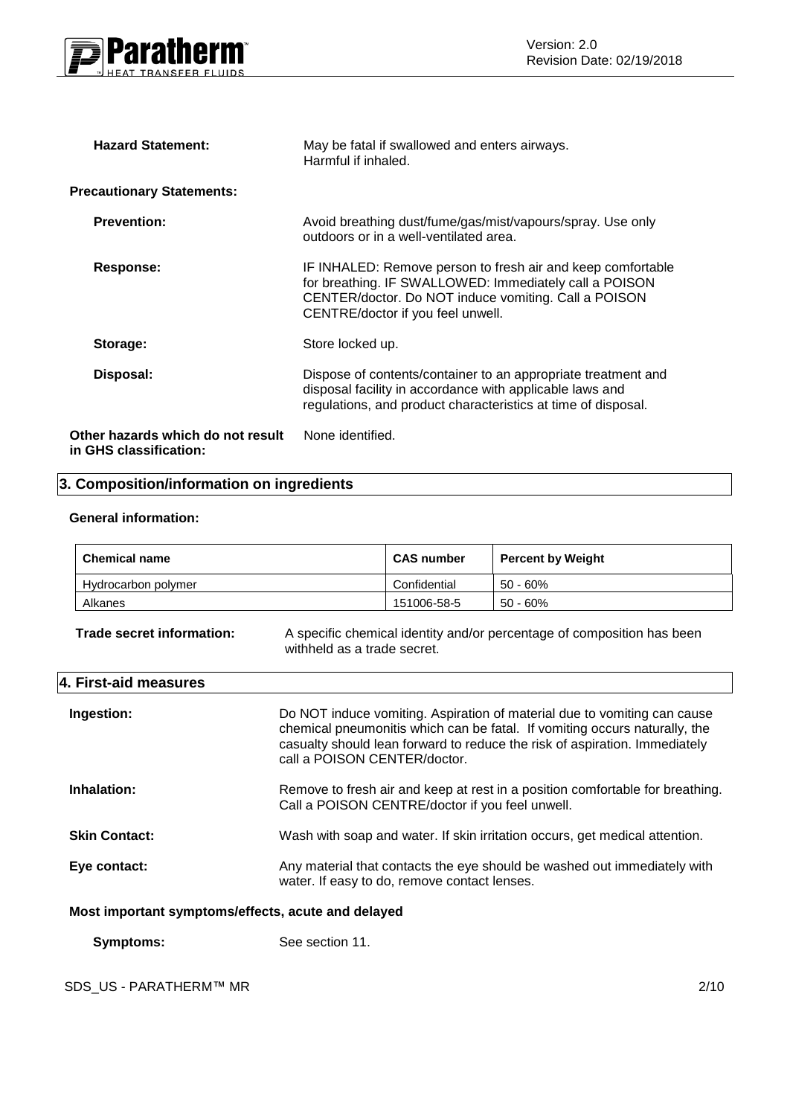

| <b>Hazard Statement:</b>                                    | May be fatal if swallowed and enters airways.<br>Harmful if inhaled.                                                                                                                                               |
|-------------------------------------------------------------|--------------------------------------------------------------------------------------------------------------------------------------------------------------------------------------------------------------------|
| <b>Precautionary Statements:</b>                            |                                                                                                                                                                                                                    |
| <b>Prevention:</b>                                          | Avoid breathing dust/fume/gas/mist/vapours/spray. Use only<br>outdoors or in a well-ventilated area.                                                                                                               |
| Response:                                                   | IF INHALED: Remove person to fresh air and keep comfortable<br>for breathing. IF SWALLOWED: Immediately call a POISON<br>CENTER/doctor. Do NOT induce vomiting. Call a POISON<br>CENTRE/doctor if you feel unwell. |
| Storage:                                                    | Store locked up.                                                                                                                                                                                                   |
| Disposal:                                                   | Dispose of contents/container to an appropriate treatment and<br>disposal facility in accordance with applicable laws and<br>regulations, and product characteristics at time of disposal.                         |
| Other hazards which do not result<br>in GHS classification: | None identified.                                                                                                                                                                                                   |

# **3. Composition/information on ingredients**

# **General information:**

| <b>Chemical name</b> | <b>CAS number</b> | <b>Percent by Weight</b> |
|----------------------|-------------------|--------------------------|
| Hydrocarbon polymer  | Confidential      | $50 - 60\%$              |
| Alkanes              | 151006-58-5       | $50 - 60\%$              |

**Trade secret information:** A specific chemical identity and/or percentage of composition has been withheld as a trade secret.

| 4. First-aid measures |                                                                                                                                                                                                                                                                      |
|-----------------------|----------------------------------------------------------------------------------------------------------------------------------------------------------------------------------------------------------------------------------------------------------------------|
| Ingestion:            | Do NOT induce vomiting. Aspiration of material due to vomiting can cause<br>chemical pneumonitis which can be fatal. If vomiting occurs naturally, the<br>casualty should lean forward to reduce the risk of aspiration. Immediately<br>call a POISON CENTER/doctor. |
| Inhalation:           | Remove to fresh air and keep at rest in a position comfortable for breathing.<br>Call a POISON CENTRE/doctor if you feel unwell.                                                                                                                                     |
| <b>Skin Contact:</b>  | Wash with soap and water. If skin irritation occurs, get medical attention.                                                                                                                                                                                          |
| Eye contact:          | Any material that contacts the eye should be washed out immediately with<br>water. If easy to do, remove contact lenses.                                                                                                                                             |

# **Most important symptoms/effects, acute and delayed**

**Symptoms:** See section 11.

SDS\_US - PARATHERM™ MR 2/10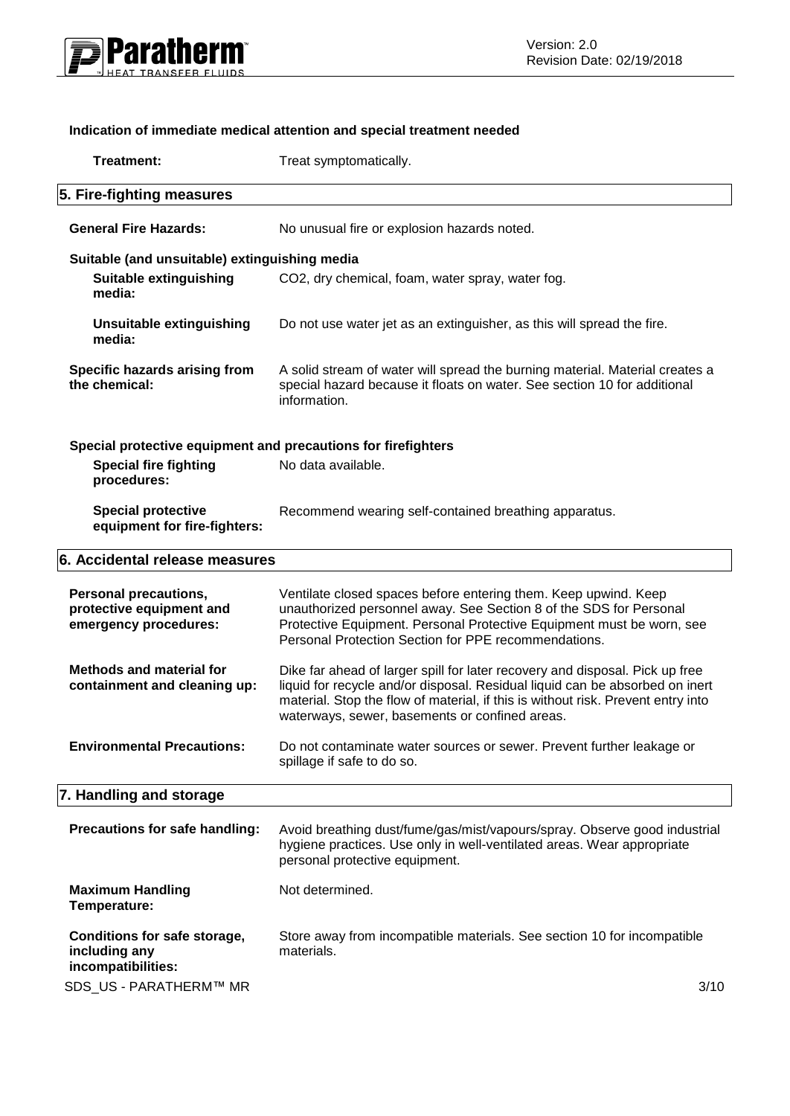

# **Indication of immediate medical attention and special treatment needed**

| <b>Treatment:</b>                                                                 | Treat symptomatically.                                                                                                                                                                                                                                                                             |
|-----------------------------------------------------------------------------------|----------------------------------------------------------------------------------------------------------------------------------------------------------------------------------------------------------------------------------------------------------------------------------------------------|
| 5. Fire-fighting measures                                                         |                                                                                                                                                                                                                                                                                                    |
| <b>General Fire Hazards:</b>                                                      | No unusual fire or explosion hazards noted.                                                                                                                                                                                                                                                        |
| Suitable (and unsuitable) extinguishing media                                     |                                                                                                                                                                                                                                                                                                    |
| <b>Suitable extinguishing</b><br>media:                                           | CO2, dry chemical, foam, water spray, water fog.                                                                                                                                                                                                                                                   |
| <b>Unsuitable extinguishing</b><br>media:                                         | Do not use water jet as an extinguisher, as this will spread the fire.                                                                                                                                                                                                                             |
| Specific hazards arising from<br>the chemical:                                    | A solid stream of water will spread the burning material. Material creates a<br>special hazard because it floats on water. See section 10 for additional<br>information.                                                                                                                           |
| Special protective equipment and precautions for firefighters                     |                                                                                                                                                                                                                                                                                                    |
| <b>Special fire fighting</b><br>procedures:                                       | No data available.                                                                                                                                                                                                                                                                                 |
| <b>Special protective</b><br>equipment for fire-fighters:                         | Recommend wearing self-contained breathing apparatus.                                                                                                                                                                                                                                              |
| 6. Accidental release measures                                                    |                                                                                                                                                                                                                                                                                                    |
| <b>Personal precautions,</b><br>protective equipment and<br>emergency procedures: | Ventilate closed spaces before entering them. Keep upwind. Keep<br>unauthorized personnel away. See Section 8 of the SDS for Personal<br>Protective Equipment. Personal Protective Equipment must be worn, see<br>Personal Protection Section for PPE recommendations.                             |
| <b>Methods and material for</b><br>containment and cleaning up:                   | Dike far ahead of larger spill for later recovery and disposal. Pick up free<br>liquid for recycle and/or disposal. Residual liquid can be absorbed on inert<br>material. Stop the flow of material, if this is without risk. Prevent entry into<br>waterways, sewer, basements or confined areas. |
| <b>Environmental Precautions:</b>                                                 | Do not contaminate water sources or sewer. Prevent further leakage or<br>spillage if safe to do so.                                                                                                                                                                                                |
| 7. Handling and storage                                                           |                                                                                                                                                                                                                                                                                                    |
| Precautions for safe handling:                                                    | Avoid breathing dust/fume/gas/mist/vapours/spray. Observe good industrial<br>hygiene practices. Use only in well-ventilated areas. Wear appropriate<br>personal protective equipment.                                                                                                              |
| <b>Maximum Handling</b><br>Temperature:                                           | Not determined.                                                                                                                                                                                                                                                                                    |
| Conditions for safe storage,<br>including any<br>incompatibilities:               | Store away from incompatible materials. See section 10 for incompatible<br>materials.                                                                                                                                                                                                              |
| SDS_US - PARATHERM™ MR                                                            | 3/10                                                                                                                                                                                                                                                                                               |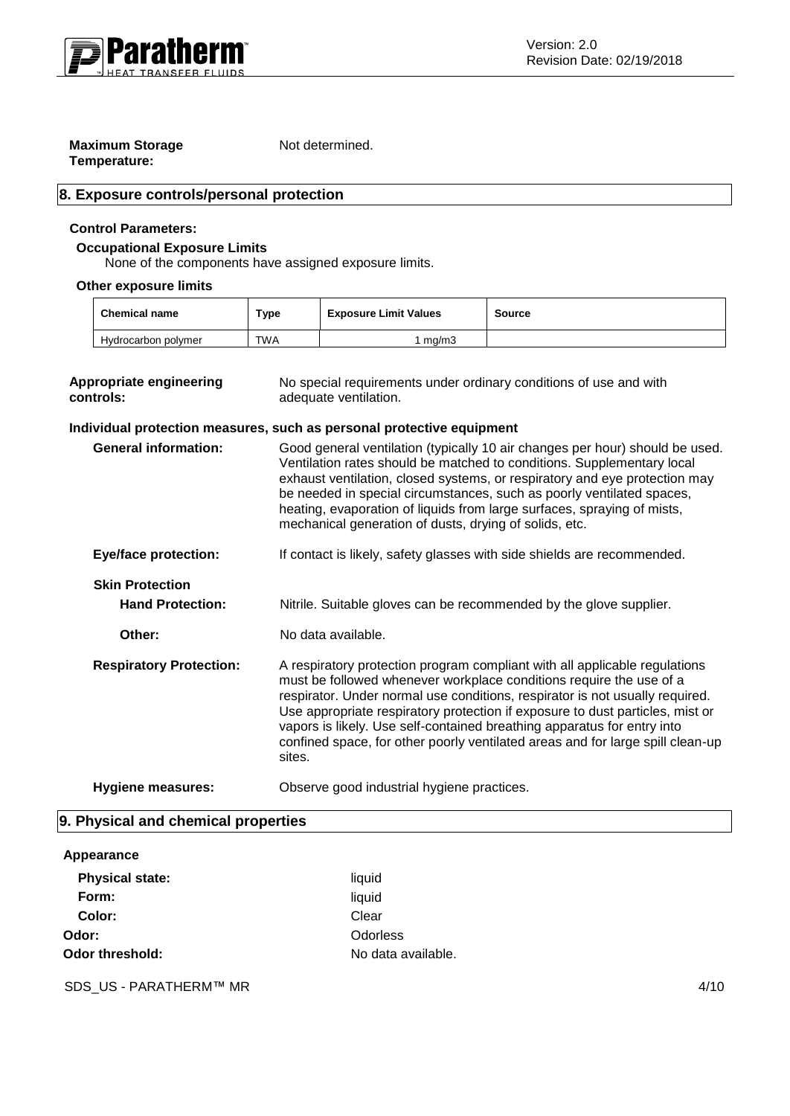

# **Maximum Storage Temperature:**

Not determined.

# **8. Exposure controls/personal protection**

# **Control Parameters:**

## **Occupational Exposure Limits**

None of the components have assigned exposure limits.

# **Other exposure limits**

| <b>Chemical name</b> | Type       | <b>Exposure Limit Values</b> | Source |
|----------------------|------------|------------------------------|--------|
| Hydrocarbon polymer  | <b>TWA</b> | ma/m3                        |        |

| <b>Appropriate engineering</b><br>controls: | No special requirements under ordinary conditions of use and with<br>adequate ventilation.                                                                                                                                                                                                                                                                                                                                                                                                |
|---------------------------------------------|-------------------------------------------------------------------------------------------------------------------------------------------------------------------------------------------------------------------------------------------------------------------------------------------------------------------------------------------------------------------------------------------------------------------------------------------------------------------------------------------|
|                                             | Individual protection measures, such as personal protective equipment                                                                                                                                                                                                                                                                                                                                                                                                                     |
| <b>General information:</b>                 | Good general ventilation (typically 10 air changes per hour) should be used.<br>Ventilation rates should be matched to conditions. Supplementary local<br>exhaust ventilation, closed systems, or respiratory and eye protection may<br>be needed in special circumstances, such as poorly ventilated spaces,<br>heating, evaporation of liquids from large surfaces, spraying of mists,<br>mechanical generation of dusts, drying of solids, etc.                                        |
| <b>Eye/face protection:</b>                 | If contact is likely, safety glasses with side shields are recommended.                                                                                                                                                                                                                                                                                                                                                                                                                   |
| <b>Skin Protection</b>                      |                                                                                                                                                                                                                                                                                                                                                                                                                                                                                           |
| <b>Hand Protection:</b>                     | Nitrile. Suitable gloves can be recommended by the glove supplier.                                                                                                                                                                                                                                                                                                                                                                                                                        |
| Other:                                      | No data available.                                                                                                                                                                                                                                                                                                                                                                                                                                                                        |
| <b>Respiratory Protection:</b>              | A respiratory protection program compliant with all applicable regulations<br>must be followed whenever workplace conditions require the use of a<br>respirator. Under normal use conditions, respirator is not usually required.<br>Use appropriate respiratory protection if exposure to dust particles, mist or<br>vapors is likely. Use self-contained breathing apparatus for entry into<br>confined space, for other poorly ventilated areas and for large spill clean-up<br>sites. |
| <b>Hygiene measures:</b>                    | Observe good industrial hygiene practices.                                                                                                                                                                                                                                                                                                                                                                                                                                                |

# **9. Physical and chemical properties**

#### **Appearance**

| <b>Physical state:</b> | liquid             |
|------------------------|--------------------|
| Form:                  | liquid             |
| Color:                 | Clear              |
| Odor:                  | Odorless           |
| Odor threshold:        | No data available. |

SDS\_US - PARATHERM™ MR 4/10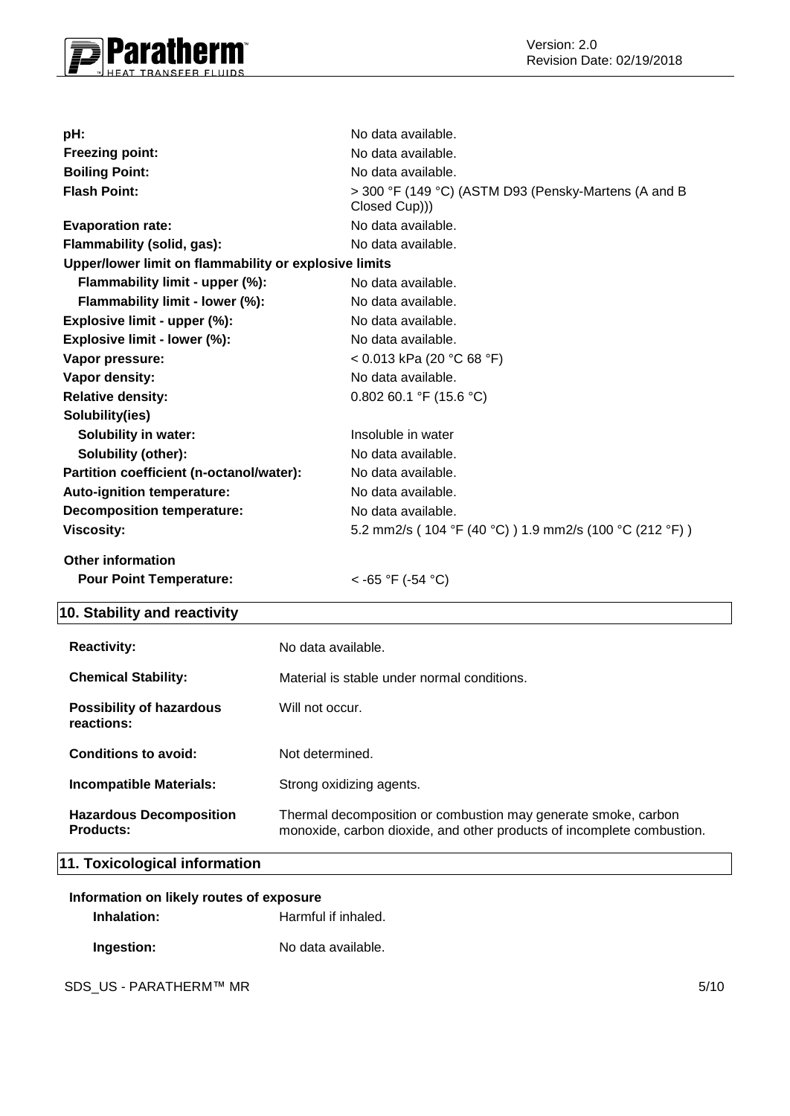

| pH:                                                   | No data available.                                                    |
|-------------------------------------------------------|-----------------------------------------------------------------------|
| <b>Freezing point:</b>                                | No data available.                                                    |
| <b>Boiling Point:</b>                                 | No data available.                                                    |
| <b>Flash Point:</b>                                   | > 300 °F (149 °C) (ASTM D93 (Pensky-Martens (A and B<br>Closed Cup))) |
| <b>Evaporation rate:</b>                              | No data available.                                                    |
| Flammability (solid, gas):                            | No data available.                                                    |
| Upper/lower limit on flammability or explosive limits |                                                                       |
| Flammability limit - upper (%):                       | No data available.                                                    |
| Flammability limit - lower (%):                       | No data available.                                                    |
| Explosive limit - upper (%):                          | No data available.                                                    |
| Explosive limit - lower (%):                          | No data available.                                                    |
| Vapor pressure:                                       | < 0.013 kPa (20 °C 68 °F)                                             |
| Vapor density:                                        | No data available.                                                    |
| <b>Relative density:</b>                              | 0.802 60.1 °F (15.6 °C)                                               |
| Solubility(ies)                                       |                                                                       |
| <b>Solubility in water:</b>                           | Insoluble in water                                                    |
| <b>Solubility (other):</b>                            | No data available.                                                    |
| Partition coefficient (n-octanol/water):              | No data available.                                                    |
| Auto-ignition temperature:                            | No data available.                                                    |
| <b>Decomposition temperature:</b>                     | No data available.                                                    |
| <b>Viscosity:</b>                                     | 5.2 mm2/s ( 104 °F (40 °C) ) 1.9 mm2/s (100 °C (212 °F) )             |
| <b>Other information</b>                              |                                                                       |
| <b>Pour Point Temperature:</b>                        | <-65 °F (-54 °C)                                                      |

# **10. Stability and reactivity**

| <b>Reactivity:</b>                                 | No data available.                                                                                                                       |
|----------------------------------------------------|------------------------------------------------------------------------------------------------------------------------------------------|
| <b>Chemical Stability:</b>                         | Material is stable under normal conditions.                                                                                              |
| <b>Possibility of hazardous</b><br>reactions:      | Will not occur.                                                                                                                          |
| Conditions to avoid:                               | Not determined.                                                                                                                          |
| <b>Incompatible Materials:</b>                     | Strong oxidizing agents.                                                                                                                 |
| <b>Hazardous Decomposition</b><br><b>Products:</b> | Thermal decomposition or combustion may generate smoke, carbon<br>monoxide, carbon dioxide, and other products of incomplete combustion. |

# **11. Toxicological information**

| Information on likely routes of exposure |                     |  |
|------------------------------------------|---------------------|--|
| Inhalation:                              | Harmful if inhaled. |  |
| Ingestion:                               | No data available.  |  |

SDS\_US - PARATHERM™ MR 5/10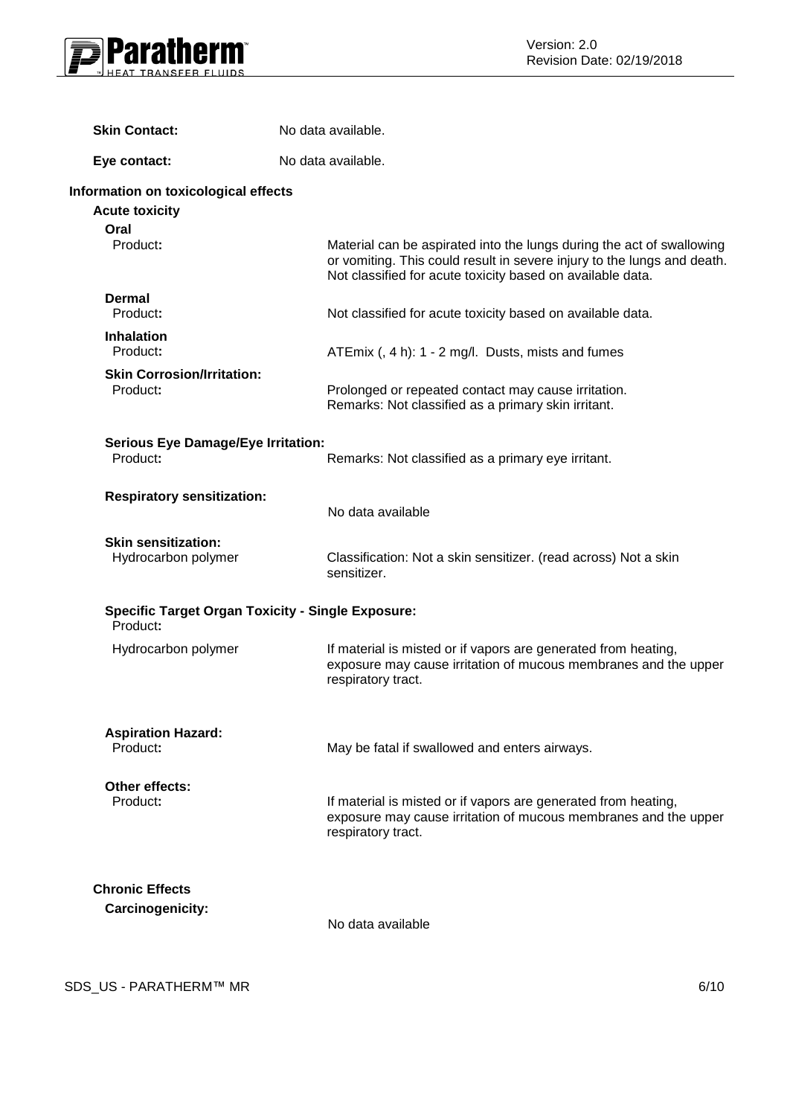

| <b>Skin Contact:</b>                                          | No data available.                                                                                                                                                                                             |
|---------------------------------------------------------------|----------------------------------------------------------------------------------------------------------------------------------------------------------------------------------------------------------------|
| Eye contact:                                                  | No data available.                                                                                                                                                                                             |
| Information on toxicological effects<br><b>Acute toxicity</b> |                                                                                                                                                                                                                |
| Oral<br>Product:                                              | Material can be aspirated into the lungs during the act of swallowing<br>or vomiting. This could result in severe injury to the lungs and death.<br>Not classified for acute toxicity based on available data. |
| <b>Dermal</b><br>Product:                                     | Not classified for acute toxicity based on available data.                                                                                                                                                     |
| <b>Inhalation</b><br>Product:                                 | ATEmix (, 4 h): 1 - 2 mg/l. Dusts, mists and fumes                                                                                                                                                             |
| <b>Skin Corrosion/Irritation:</b><br>Product:                 | Prolonged or repeated contact may cause irritation.<br>Remarks: Not classified as a primary skin irritant.                                                                                                     |
| <b>Serious Eye Damage/Eye Irritation:</b><br>Product:         | Remarks: Not classified as a primary eye irritant.                                                                                                                                                             |
| <b>Respiratory sensitization:</b>                             | No data available                                                                                                                                                                                              |
| <b>Skin sensitization:</b><br>Hydrocarbon polymer             | Classification: Not a skin sensitizer. (read across) Not a skin<br>sensitizer.                                                                                                                                 |
| Product:                                                      | <b>Specific Target Organ Toxicity - Single Exposure:</b>                                                                                                                                                       |
| Hydrocarbon polymer                                           | If material is misted or if vapors are generated from heating,<br>exposure may cause irritation of mucous membranes and the upper<br>respiratory tract.                                                        |
| <b>Aspiration Hazard:</b><br>Product:                         | May be fatal if swallowed and enters airways.                                                                                                                                                                  |
| Other effects:<br>Product:                                    | If material is misted or if vapors are generated from heating,<br>exposure may cause irritation of mucous membranes and the upper<br>respiratory tract.                                                        |
| <b>Chronic Effects</b>                                        |                                                                                                                                                                                                                |
| Carcinogenicity:                                              | No data available                                                                                                                                                                                              |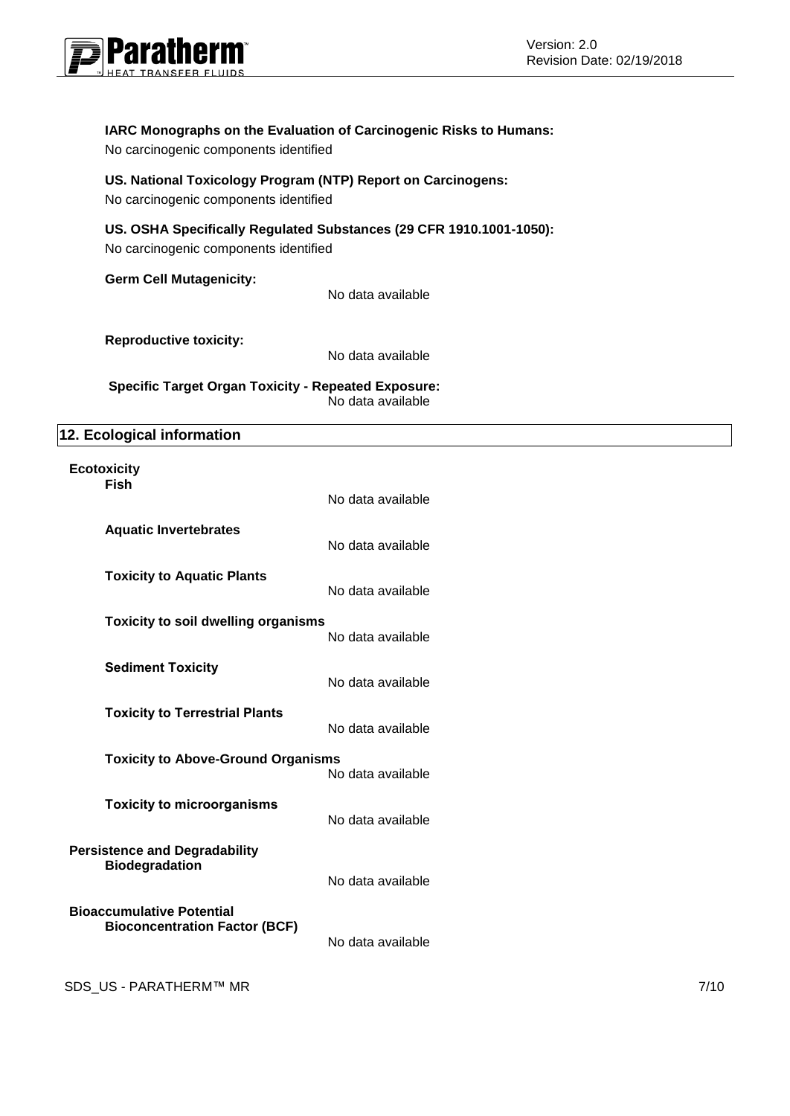

# **IARC Monographs on the Evaluation of Carcinogenic Risks to Humans:**

No carcinogenic components identified

# **US. National Toxicology Program (NTP) Report on Carcinogens:** No carcinogenic components identified

# **US. OSHA Specifically Regulated Substances (29 CFR 1910.1001-1050):**

No carcinogenic components identified

**Germ Cell Mutagenicity:** 

No data available

**Reproductive toxicity:** 

No data available

**Specific Target Organ Toxicity - Repeated Exposure:**  No data available

# **12. Ecological information**

#### **Ecotoxicity Fish**

|                                                                          | No data available |
|--------------------------------------------------------------------------|-------------------|
| <b>Aquatic Invertebrates</b>                                             | No data available |
| <b>Toxicity to Aquatic Plants</b>                                        | No data available |
| <b>Toxicity to soil dwelling organisms</b>                               | No data available |
| <b>Sediment Toxicity</b>                                                 | No data available |
| <b>Toxicity to Terrestrial Plants</b>                                    | No data available |
| <b>Toxicity to Above-Ground Organisms</b>                                | No data available |
| <b>Toxicity to microorganisms</b>                                        | No data available |
| <b>Persistence and Degradability</b><br><b>Biodegradation</b>            | No data available |
| <b>Bioaccumulative Potential</b><br><b>Bioconcentration Factor (BCF)</b> | No data available |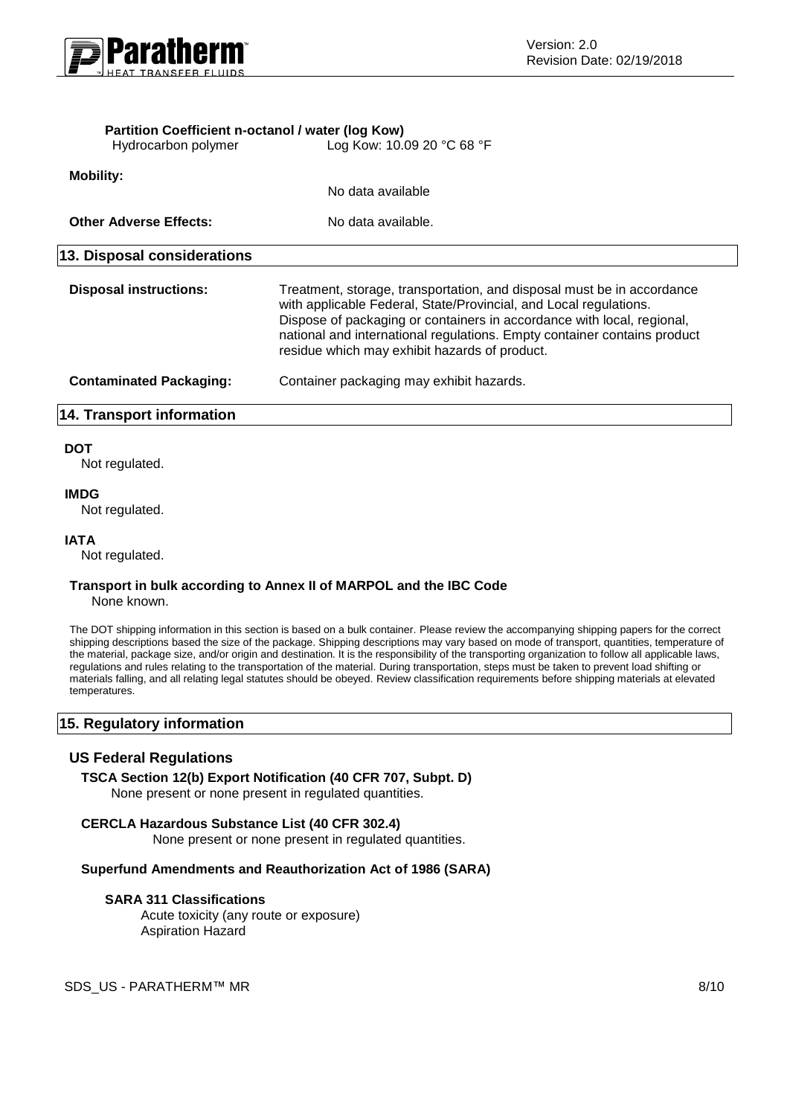

| <b>14. Transport information</b> |                                                                                                                                                                                                                                                                                                                                                    |
|----------------------------------|----------------------------------------------------------------------------------------------------------------------------------------------------------------------------------------------------------------------------------------------------------------------------------------------------------------------------------------------------|
| <b>Contaminated Packaging:</b>   | Container packaging may exhibit hazards.                                                                                                                                                                                                                                                                                                           |
| <b>Disposal instructions:</b>    | Treatment, storage, transportation, and disposal must be in accordance<br>with applicable Federal, State/Provincial, and Local regulations.<br>Dispose of packaging or containers in accordance with local, regional,<br>national and international regulations. Empty container contains product<br>residue which may exhibit hazards of product. |
| 13. Disposal considerations      |                                                                                                                                                                                                                                                                                                                                                    |
|                                  |                                                                                                                                                                                                                                                                                                                                                    |
| <b>Other Adverse Effects:</b>    | No data available.                                                                                                                                                                                                                                                                                                                                 |
|                                  | No data available                                                                                                                                                                                                                                                                                                                                  |
| <b>Mobility:</b>                 |                                                                                                                                                                                                                                                                                                                                                    |
| Hydrocarbon polymer              | Log Kow: 10.09 20 °C 68 °F                                                                                                                                                                                                                                                                                                                         |

#### **DOT**

Not regulated.

#### **IMDG**

Not regulated.

#### **IATA**

Not regulated.

#### **Transport in bulk according to Annex II of MARPOL and the IBC Code** None known.

The DOT shipping information in this section is based on a bulk container. Please review the accompanying shipping papers for the correct shipping descriptions based the size of the package. Shipping descriptions may vary based on mode of transport, quantities, temperature of the material, package size, and/or origin and destination. It is the responsibility of the transporting organization to follow all applicable laws, regulations and rules relating to the transportation of the material. During transportation, steps must be taken to prevent load shifting or materials falling, and all relating legal statutes should be obeyed. Review classification requirements before shipping materials at elevated temperatures.

# **15. Regulatory information**

#### **US Federal Regulations**

**TSCA Section 12(b) Export Notification (40 CFR 707, Subpt. D)** None present or none present in regulated quantities.

#### **CERCLA Hazardous Substance List (40 CFR 302.4)**

None present or none present in regulated quantities.

#### **Superfund Amendments and Reauthorization Act of 1986 (SARA)**

#### **SARA 311 Classifications**

Acute toxicity (any route or exposure) Aspiration Hazard

SDS\_US - PARATHERM™ MR 8/10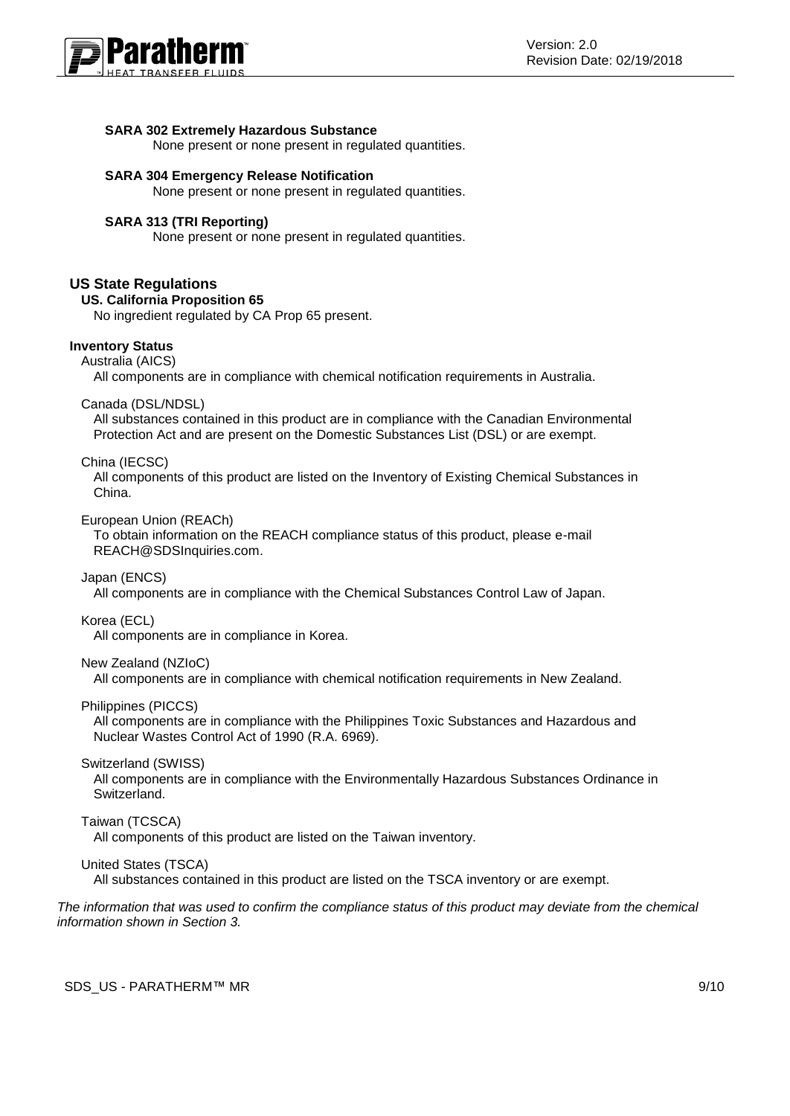

#### **SARA 302 Extremely Hazardous Substance**

None present or none present in regulated quantities.

#### **SARA 304 Emergency Release Notification**

None present or none present in regulated quantities.

#### **SARA 313 (TRI Reporting)**

None present or none present in regulated quantities.

# **US State Regulations**

#### **US. California Proposition 65**

No ingredient regulated by CA Prop 65 present.

## **Inventory Status**

Australia (AICS)

All components are in compliance with chemical notification requirements in Australia.

Canada (DSL/NDSL)

All substances contained in this product are in compliance with the Canadian Environmental Protection Act and are present on the Domestic Substances List (DSL) or are exempt.

#### China (IECSC)

All components of this product are listed on the Inventory of Existing Chemical Substances in China.

European Union (REACh)

To obtain information on the REACH compliance status of this product, please e-mail REACH@SDSInquiries.com.

Japan (ENCS)

All components are in compliance with the Chemical Substances Control Law of Japan.

#### Korea (ECL)

All components are in compliance in Korea.

#### New Zealand (NZIoC)

All components are in compliance with chemical notification requirements in New Zealand.

#### Philippines (PICCS)

All components are in compliance with the Philippines Toxic Substances and Hazardous and Nuclear Wastes Control Act of 1990 (R.A. 6969).

#### Switzerland (SWISS)

All components are in compliance with the Environmentally Hazardous Substances Ordinance in Switzerland.

#### Taiwan (TCSCA)

All components of this product are listed on the Taiwan inventory.

#### United States (TSCA)

All substances contained in this product are listed on the TSCA inventory or are exempt.

*The information that was used to confirm the compliance status of this product may deviate from the chemical information shown in Section 3.*